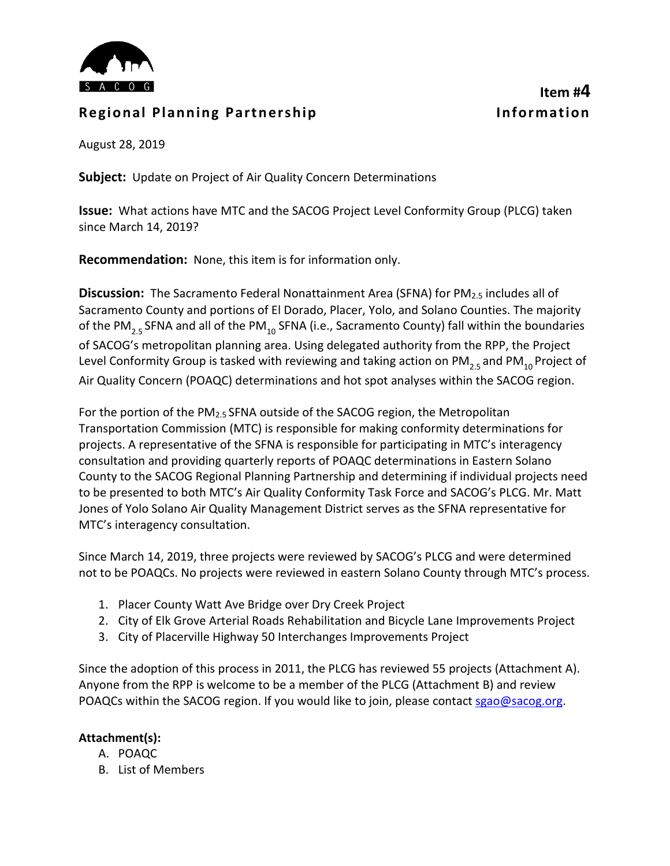

### **Regional Planning Partnership Information**

# **Item #4**

August 28, 2019

**Subject:** Update on Project of Air Quality Concern Determinations

**Issue:** What actions have MTC and the SACOG Project Level Conformity Group (PLCG) taken since March 14, 2019?

**Recommendation:** None, this item is for information only.

**Discussion:** The Sacramento Federal Nonattainment Area (SFNA) for PM<sub>2.5</sub> includes all of Sacramento County and portions of El Dorado, Placer, Yolo, and Solano Counties. The majority of the PM<sub>2.5</sub> SFNA and all of the PM<sub>10</sub> SFNA (i.e., Sacramento County) fall within the boundaries of SACOG's metropolitan planning area. Using delegated authority from the RPP, the Project Level Conformity Group is tasked with reviewing and taking action on PM<sub>25</sub> and PM<sub>10</sub> Project of Air Quality Concern (POAQC) determinations and hot spot analyses within the SACOG region.

For the portion of the PM<sub>2.5</sub> SFNA outside of the SACOG region, the Metropolitan Transportation Commission (MTC) is responsible for making conformity determinations for projects. A representative of the SFNA is responsible for participating in MTC's interagency consultation and providing quarterly reports of POAQC determinations in Eastern Solano County to the SACOG Regional Planning Partnership and determining if individual projects need to be presented to both MTC's Air Quality Conformity Task Force and SACOG's PLCG. Mr. Matt Jones of Yolo Solano Air Quality Management District serves as the SFNA representative for MTC's interagency consultation.

Since March 14, 2019, three projects were reviewed by SACOG's PLCG and were determined not to be POAQCs. No projects were reviewed in eastern Solano County through MTC's process.

- 1. Placer County Watt Ave Bridge over Dry Creek Project
- 2. City of Elk Grove Arterial Roads Rehabilitation and Bicycle Lane Improvements Project
- 3. City of Placerville Highway 50 Interchanges Improvements Project

Since the adoption of this process in 2011, the PLCG has reviewed 55 projects (Attachment A). Anyone from the RPP is welcome to be a member of the PLCG (Attachment B) and review POAQCs within the SACOG region. If you would like to join, please contact [sgao@sacog.org.](mailto:sgao@sacog.org)

#### **Attachment(s):**

- A. POAQC
- B. List of Members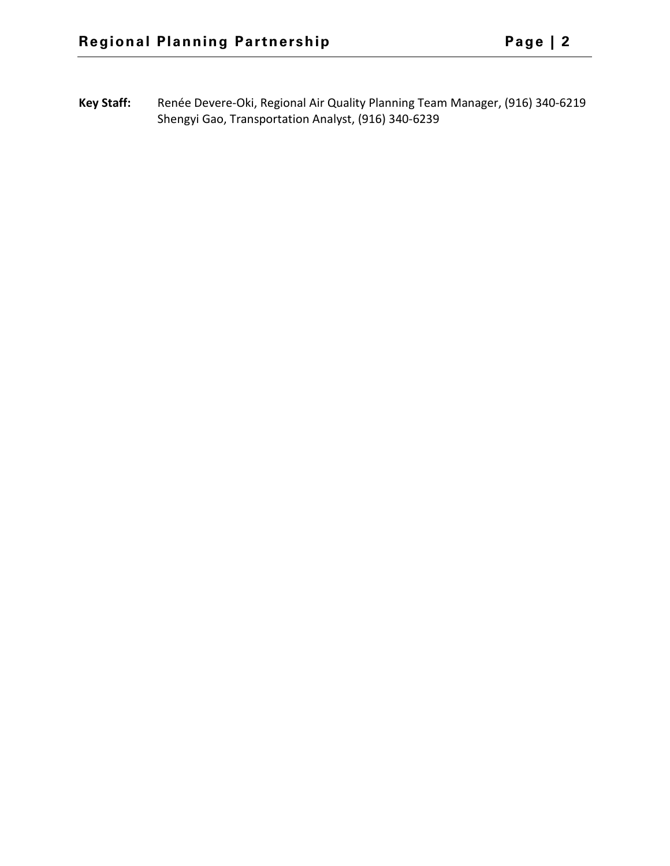**Key Staff:** Renée Devere-Oki, Regional Air Quality Planning Team Manager, (916) 340-6219 Shengyi Gao, Transportation Analyst, (916) 340-6239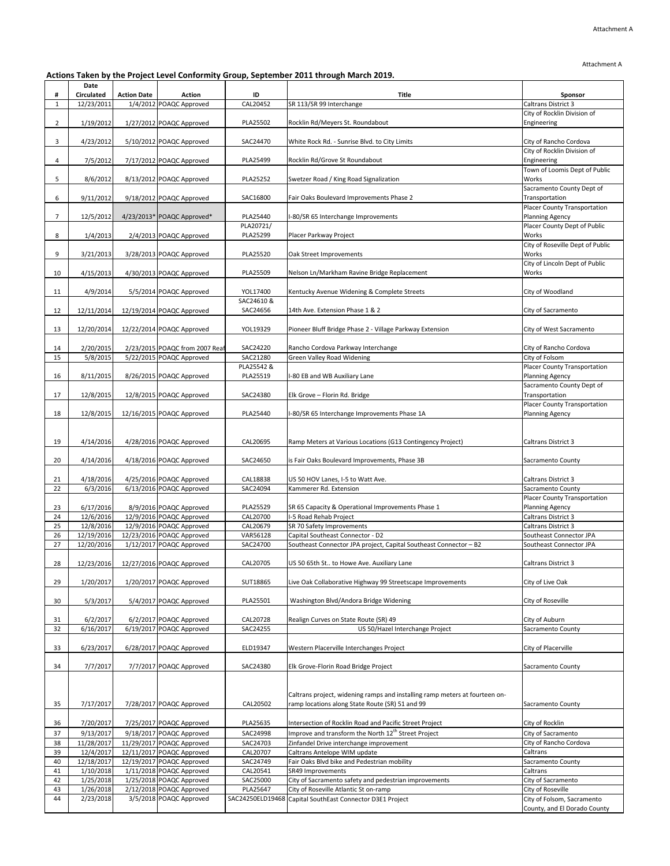Attachment A

**Actions Taken by the Project Level Conformity Group, September 2011 through March 2019.**

|                | Date                   |                    |                                                      |                        |                                                                                                                                |                                                               |
|----------------|------------------------|--------------------|------------------------------------------------------|------------------------|--------------------------------------------------------------------------------------------------------------------------------|---------------------------------------------------------------|
| #              | Circulated             | <b>Action Date</b> | Action                                               | ID                     | Title                                                                                                                          | Sponsor                                                       |
| $\mathbf{1}$   | 12/23/2011             |                    | 1/4/2012 POAQC Approved                              | CAL20452               | SR 113/SR 99 Interchange                                                                                                       | Caltrans District 3                                           |
| $\overline{2}$ | 1/19/2012              |                    | 1/27/2012 POAQC Approved                             | PLA25502               | Rocklin Rd/Meyers St. Roundabout                                                                                               | City of Rocklin Division of<br>Engineering                    |
| 3              | 4/23/2012              |                    | 5/10/2012 POAQC Approved                             | SAC24470               | White Rock Rd. - Sunrise Blvd. to City Limits                                                                                  | City of Rancho Cordova                                        |
| 4              | 7/5/2012               |                    | 7/17/2012 POAQC Approved                             | PLA25499               | Rocklin Rd/Grove St Roundabout                                                                                                 | City of Rocklin Division of<br>Engineering                    |
| 5              | 8/6/2012               |                    | 8/13/2012 POAQC Approved                             | PLA25252               | Swetzer Road / King Road Signalization                                                                                         | Town of Loomis Dept of Public<br>Works                        |
| 6              | 9/11/2012              |                    | 9/18/2012 POAQC Approved                             | SAC16800               | Fair Oaks Boulevard Improvements Phase 2                                                                                       | Sacramento County Dept of<br>Transportation                   |
| $\overline{7}$ | 12/5/2012              |                    | 4/23/2013* POAQC Approved*                           | PLA25440               | I-80/SR 65 Interchange Improvements                                                                                            | <b>Placer County Transportation</b><br><b>Planning Agency</b> |
| 8              | 1/4/2013               |                    | 2/4/2013 POAQC Approved                              | PLA20721/<br>PLA25299  | Placer Parkway Project                                                                                                         | Placer County Dept of Public<br>Works                         |
| 9              | 3/21/2013              |                    | 3/28/2013 POAQC Approved                             | PLA25520               | Oak Street Improvements                                                                                                        | City of Roseville Dept of Public<br>Works                     |
| 10             | 4/15/2013              |                    | 4/30/2013 POAQC Approved                             | PLA25509               | Nelson Ln/Markham Ravine Bridge Replacement                                                                                    | City of Lincoln Dept of Public<br>Works                       |
| 11             | 4/9/2014               |                    | 5/5/2014 POAQC Approved                              | YOL17400               | Kentucky Avenue Widening & Complete Streets                                                                                    | City of Woodland                                              |
| 12             | 12/11/2014             |                    | 12/19/2014 POAQC Approved                            | SAC24610 &<br>SAC24656 | 14th Ave. Extension Phase 1 & 2                                                                                                | City of Sacramento                                            |
| 13             | 12/20/2014             |                    | 12/22/2014 POAQC Approved                            | YOL19329               | Pioneer Bluff Bridge Phase 2 - Village Parkway Extension                                                                       | City of West Sacramento                                       |
| 14             | 2/20/2015              |                    | 2/23/2015 POAQC from 2007 Reaf                       | SAC24220               | Rancho Cordova Parkway Interchange                                                                                             | City of Rancho Cordova                                        |
| 15             | 5/8/2015               |                    | 5/22/2015 POAQC Approved                             | SAC21280               | Green Valley Road Widening                                                                                                     | City of Folsom                                                |
|                |                        |                    |                                                      | PLA25542 &             |                                                                                                                                | <b>Placer County Transportation</b>                           |
| 16             | 8/11/2015              |                    | 8/26/2015 POAQC Approved                             | PLA25519               | I-80 EB and WB Auxiliary Lane                                                                                                  | <b>Planning Agency</b>                                        |
| 17             | 12/8/2015              |                    | 12/8/2015 POAQC Approved                             | SAC24380               | Elk Grove - Florin Rd. Bridge                                                                                                  | Sacramento County Dept of<br>Transportation                   |
| 18             | 12/8/2015              |                    | 12/16/2015 POAQC Approved                            | PLA25440               | I-80/SR 65 Interchange Improvements Phase 1A                                                                                   | Placer County Transportation<br><b>Planning Agency</b>        |
| 19             | 4/14/2016              |                    | 4/28/2016 POAQC Approved                             | CAL20695               | Ramp Meters at Various Locations (G13 Contingency Project)                                                                     | <b>Caltrans District 3</b>                                    |
| 20             | 4/14/2016              |                    | 4/18/2016 POAQC Approved                             | SAC24650               | is Fair Oaks Boulevard Improvements, Phase 3B                                                                                  | Sacramento County                                             |
| 21             | 4/18/2016              |                    | 4/25/2016 POAQC Approved                             | CAL18838               | US 50 HOV Lanes, I-5 to Watt Ave.                                                                                              | <b>Caltrans District 3</b>                                    |
| 22             | 6/3/2016               |                    | 6/13/2016 POAQC Approved                             | SAC24094               | Kammerer Rd. Extension                                                                                                         | Sacramento County                                             |
| 23             | 6/17/2016              |                    | 8/9/2016 POAQC Approved                              | PLA25529               | SR 65 Capacity & Operational Improvements Phase 1                                                                              | Placer County Transportation<br><b>Planning Agency</b>        |
| 24             | 12/6/2016              |                    | 12/9/2016 POAQC Approved                             | CAL20700               | I-5 Road Rehab Project                                                                                                         | Caltrans District 3                                           |
| 25             | 12/8/2016              |                    | 12/9/2016 POAQC Approved                             | CAL20679               | SR 70 Safety Improvements                                                                                                      | Caltrans District 3                                           |
| 26             | 12/19/2016             |                    | 12/23/2016 POAQC Approved                            | VAR56128               | Capital Southeast Connector - D2                                                                                               | Southeast Connector JPA                                       |
| 27             | 12/20/2016             |                    | 1/12/2017 POAQC Approved                             | SAC24700               | Southeast Connector JPA project, Capital Southeast Connector - B2                                                              | Southeast Connector JPA                                       |
| 28             | 12/23/2016             |                    | 12/27/2016 POAQC Approved                            | CAL20705               | US 50 65th St to Howe Ave. Auxiliary Lane                                                                                      | Caltrans District 3                                           |
| 29             | 1/20/2017              |                    | 1/20/2017 POAQC Approved                             | SUT18865               | Live Oak Collaborative Highway 99 Streetscape Improvements                                                                     | City of Live Oak                                              |
| 30             | 5/3/2017               |                    | 5/4/2017 POAQC Approved                              | PLA25501               | Washington Blvd/Andora Bridge Widening                                                                                         | City of Roseville                                             |
| 31             | 6/2/2017               |                    | 6/2/2017 POAQC Approved                              | CAL20728               | Realign Curves on State Route (SR) 49                                                                                          | City of Auburn                                                |
| 32             | 6/16/2017              |                    | 6/19/2017 POAQC Approved                             | SAC24255               | US 50/Hazel Interchange Project                                                                                                | Sacramento County                                             |
| 33             | 6/23/2017              |                    | 6/28/2017 POAQC Approved                             | ELD19347               | Western Placerville Interchanges Project                                                                                       | City of Placerville                                           |
| 34             | 7/7/2017               |                    | 7/7/2017 POAQC Approved                              | SAC24380               | Elk Grove-Florin Road Bridge Project                                                                                           | Sacramento County                                             |
|                |                        |                    |                                                      |                        |                                                                                                                                |                                                               |
| 35             | 7/17/2017              |                    | 7/28/2017 POAQC Approved                             | CAL20502               | Caltrans project, widening ramps and installing ramp meters at fourteen on-<br>ramp locations along State Route (SR) 51 and 99 | Sacramento County                                             |
| 36             | 7/20/2017              |                    | 7/25/2017 POAQC Approved                             | PLA25635               | Intersection of Rocklin Road and Pacific Street Project                                                                        | City of Rocklin                                               |
| 37             | 9/13/2017              |                    | 9/18/2017 POAQC Approved                             | SAC24998               | Improve and transform the North 12 <sup>th</sup> Street Project                                                                | City of Sacramento                                            |
| 38             | 11/28/2017             |                    | 11/29/2017 POAQC Approved                            | SAC24703               | Zinfandel Drive interchange improvement                                                                                        | City of Rancho Cordova                                        |
| 39             | 12/4/2017              |                    | 12/11/2017 POAQC Approved                            | CAL20707               | Caltrans Antelope WIM update                                                                                                   | Caltrans                                                      |
| 40             | 12/18/2017             |                    | 12/19/2017 POAQC Approved                            | SAC24749               | Fair Oaks Blvd bike and Pedestrian mobility                                                                                    | Sacramento County                                             |
| 41<br>42       | 1/10/2018<br>1/25/2018 |                    | 1/11/2018 POAQC Approved<br>1/25/2018 POAQC Approved | CAL20541<br>SAC25000   | SR49 Improvements                                                                                                              | Caltrans<br>City of Sacramento                                |
| 43             | 1/26/2018              |                    | 2/12/2018 POAQC Approved                             | PLA25647               | City of Sacramento safety and pedestrian improvements<br>City of Roseville Atlantic St on-ramp                                 | City of Roseville                                             |
| 44             | 2/23/2018              |                    | 3/5/2018 POAQC Approved                              | SAC24250ELD19468       | Capital SouthEast Connector D3E1 Project                                                                                       | City of Folsom, Sacramento                                    |
|                |                        |                    |                                                      |                        |                                                                                                                                | County, and El Dorado County                                  |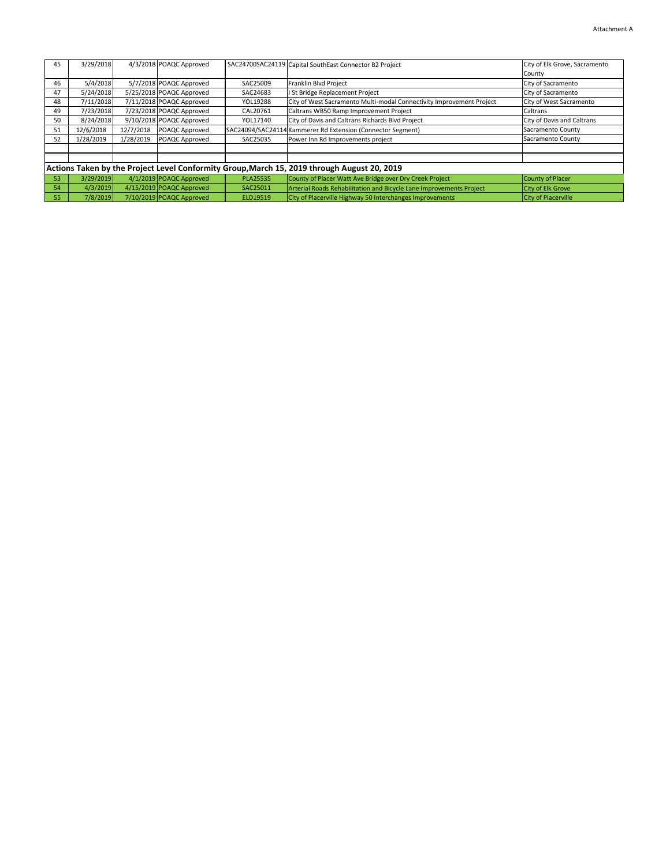| 45                                                                                          | 3/29/2018 |           | 4/3/2018 POAQC Approved  |          | SAC24700SAC24119 Capital SouthEast Connector B2 Project              | City of Elk Grove, Sacramento |  |
|---------------------------------------------------------------------------------------------|-----------|-----------|--------------------------|----------|----------------------------------------------------------------------|-------------------------------|--|
|                                                                                             |           |           |                          |          |                                                                      | County                        |  |
| 46                                                                                          | 5/4/2018  |           | 5/7/2018 POAQC Approved  | SAC25009 | Franklin Blvd Project                                                | City of Sacramento            |  |
| 47                                                                                          | 5/24/2018 |           | 5/25/2018 POAQC Approved | SAC24683 | I St Bridge Replacement Project                                      | City of Sacramento            |  |
| 48                                                                                          | 7/11/2018 |           | 7/11/2018 POAQC Approved | YOL19288 | City of West Sacramento Multi-modal Connectivity Improvement Project | City of West Sacramento       |  |
| 49                                                                                          | 7/23/2018 |           | 7/23/2018 POAQC Approved | CAL20761 | Caltrans WB50 Ramp Improvement Project                               | Caltrans                      |  |
| 50                                                                                          | 8/24/2018 |           | 9/10/2018 POAQC Approved | YOL17140 | City of Davis and Caltrans Richards Blvd Project                     | City of Davis and Caltrans    |  |
| 51                                                                                          | 12/6/2018 | 12/7/2018 | POAQC Approved           |          | SAC24094/SAC24114 Kammerer Rd Extension (Connector Segment)          | Sacramento County             |  |
| 52                                                                                          | 1/28/2019 | 1/28/2019 | POAQC Approved           | SAC25035 | Power Inn Rd Improvements project                                    | Sacramento County             |  |
|                                                                                             |           |           |                          |          |                                                                      |                               |  |
|                                                                                             |           |           |                          |          |                                                                      |                               |  |
| Actions Taken by the Project Level Conformity Group, March 15, 2019 through August 20, 2019 |           |           |                          |          |                                                                      |                               |  |
| 53                                                                                          | 3/29/2019 |           | 4/1/2019 POAQC Approved  | PLA25535 | County of Placer Watt Ave Bridge over Dry Creek Project              | County of Placer              |  |
| 54                                                                                          | 4/3/2019  |           | 4/15/2019 POAQC Approved | SAC25011 | Arterial Roads Rehabilitation and Bicycle Lane Improvements Project  | <b>City of Elk Grove</b>      |  |
| 55                                                                                          | 7/8/2019  |           | 7/10/2019 POAQC Approved | ELD19519 | City of Placerville Highway 50 Interchanges Improvements             | <b>City of Placerville</b>    |  |